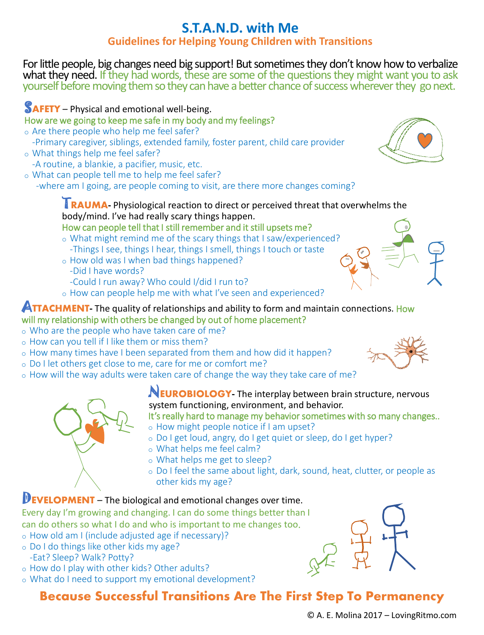## **S.T.A.N.D. with Me Guidelines for Helping Young Children with Transitions**

For little people, big changes need big support! But sometimes they don't know how to verbalize what they need. If they had words, these are some of the questions they might want you to ask yourself before moving them so they can have a better chance of success wherever they go next.

# **SAFETY** – Physical and emotional well-being.

### How are we going to keep me safe in my body and my feelings?

- o Are there people who help me feel safer? -Primary caregiver, siblings, extended family, foster parent, child care provider
- o What things help me feel safer? -A routine, a blankie, a pacifier, music, etc.
- o What can people tell me to help me feel safer?
- -where am I going, are people coming to visit, are there more changes coming?

#### **TRAUMA**- Physiological reaction to direct or perceived threat that overwhelms the body/mind. I've had really scary things happen. How can people tell that I still remember and it still upsets me?

- o What might remind me of the scary things that I saw/experienced? -Things I see, things I hear, things I smell, things I touch or taste
- o How old was I when bad things happened?
- -Did I have words?
- -Could I run away? Who could I/did I run to?
- o How can people help me with what I've seen and experienced?

### **ATTACHMENT** The quality of relationships and ability to form and maintain connections. How will my relationship with others be changed by out of home placement?

- o Who are the people who have taken care of me?
- o How can you tell if I like them or miss them?
- o How many times have I been separated from them and how did it happen?
- o Do I let others get close to me, care for me or comfort me?
- o How will the way adults were taken care of change the way they take care of me?



### N**EUROBIOLOGY-** The interplay between brain structure, nervous system functioning, environment, and behavior.

It's really hard to manage my behavior sometimes with so many changes..

- o How might people notice if I am upset?
- o Do I get loud, angry, do I get quiet or sleep, do I get hyper?
- o What helps me feel calm?
- o What helps me get to sleep?
- o Do I feel the same about light, dark, sound, heat, clutter, or people as other kids my age?

## **DEVELOPMENT** – The biological and emotional changes over time.

Every day I'm growing and changing. I can do some things better than I can do others so what I do and who is important to me changes too.

- o How old am I (include adjusted age if necessary)?
- o Do I do things like other kids my age? -Eat? Sleep? Walk? Potty?
- o How do I play with other kids? Other adults?
- o What do I need to support my emotional development?

## **Because Successful Transitions Are The First Step To Permanency**







© A. E. Molina 2017 – LovingRitmo.com